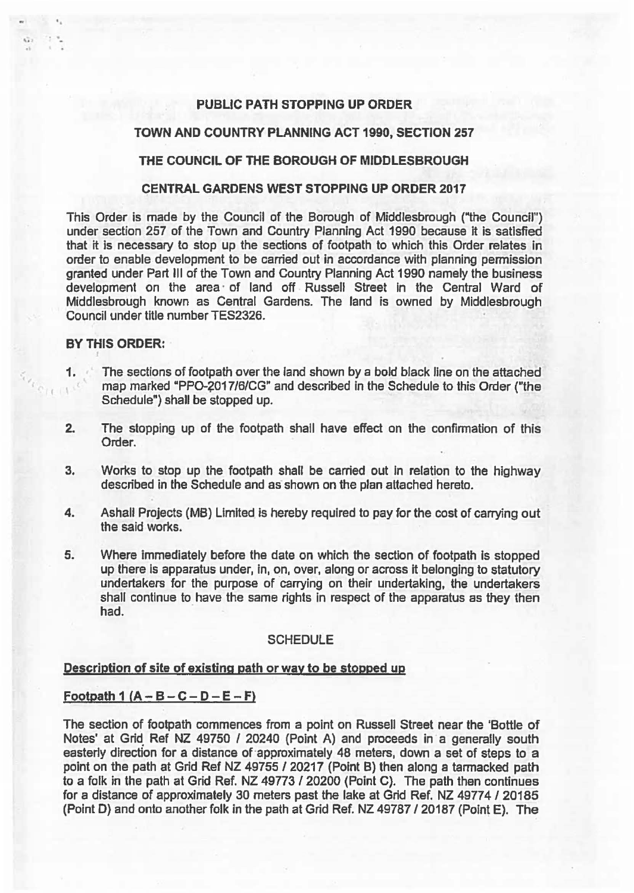# PUBLIC PATH STOPPING UP ORDER

#### TOWN AND COUNTRY PLANNING ACT 1990, SECTION 257

## THE COUNCIL OF THE BOROUGH OF MIDDLESBROUGH

#### CENTRAL GARDENS WEST STOPPING UP ORDER 2017

This Order is made by the Council of the Borough of Middlesbrough ("the Council") under section 257 of the Town and Country Planning Act 1990 because it is satisfied that it is necessary to stop up the sections of footpath to which this Order relates in order to enable development to be carried out In accordance with planning permission granted under Part Ill of the Town and Country Planning Act 1990 namely the business development on the area of land off Russell Street in the Central Ward of Middlesbrough known as Central Gardens. The land is owned by Middlesbrough Council under title number TES2326.

## BY THIS ORDER:

.. ,,, . '

..

- 1. The sections of footpath over the land shown by a bold black line on the attached ' map marked "PPO-2017/6/CG" and described in the Schedule to this Order ("the Schedule") shall be stopped up.
- 2. The stopping up of the footpath shall have effect on the confirmation of this Order.
- 3. Works to stop up the footpath shall be carried out in relation to the highway described in the Schedule and as shown on the plan attached hereto.
- 4. Ashall Projects (MB) Limited is hereby required to pay for the cost of carrying out the said works.
- 5. Where immediately before the date on which the section of footpath is stopped up there is apparatus under. in, on, over, along or across it belonging to statutory undertakers for the purpose of carrying on their undertaking, the undertakers shall continue to have the same rights in respect of the apparatus as they then had.

### **SCHEDULE**

## Description of site of existing path or way to be stopped up

## Footpath 1  $(A - B - C - D - E - F)$

The section of footpath commences from a point on Russell Street near the 'Bottle of Notes' at Grid Ref NZ 49750 / 20240 (Point A) and proceeds in a generally south easterly direction for a distance of approximately 48 meters, down a set of steps to a point on the path at Grid Ref NZ 49755 / 20217 (Point B) then along a tarmacked path to a folk in the path at Grid Ref. NZ 49773 / 20200 (Point C). The path then continues for a distance of approximately 30 meters past the lake at Grid Ref. NZ 49774 / 20185 (Point D) and onto another folk in the path at Grid Ref. NZ 49787 I 20187 (Point E). The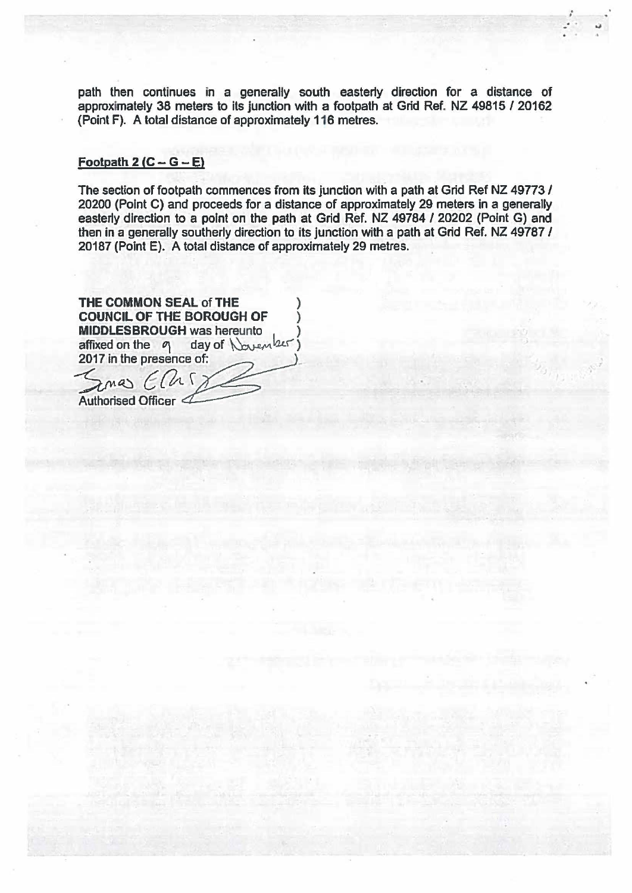path then continues in a generally south easterly direction for a distance of approximately 38 meters to its junction with a footpath at Grid Ref. NZ 49815 / 20162 {Point F). A total distance of approximately 116 metres.

. •

# Footpath  $2 (C - G - E)$

The section of footpath commences from its junction with a path at Grid Ref NZ 49773 / 20200 (Point C) and proceeds for a distance of approximately 29 meters in a generally easterly direction to a point on the path at Grid Ref. NZ 49784 I 20202 (Point G) and then in a generally southerly direction to its junction with a path at Grid Ref. NZ 49787 / 20187 (Point E). A total distance of approximately 29 metres.

THE COMMON SEAL of THE COUNCIL OF THE BOROUGH OF ) **MIDDLESBROUGH was hereunto** affixed on the  $q$  day of  $\sqrt{u}$ 2017 In the presence of:

 $SansE0$ Authorised Officer  $\ll$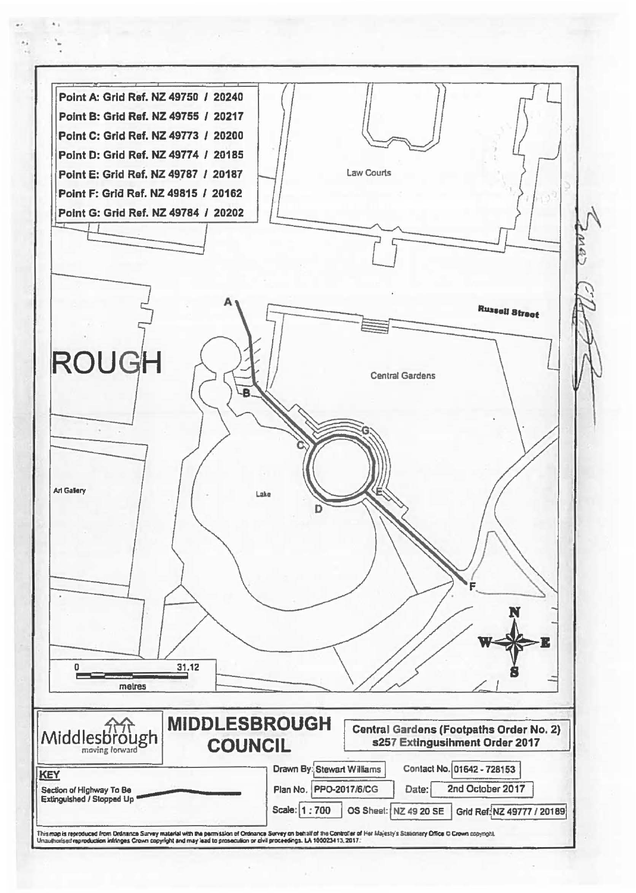